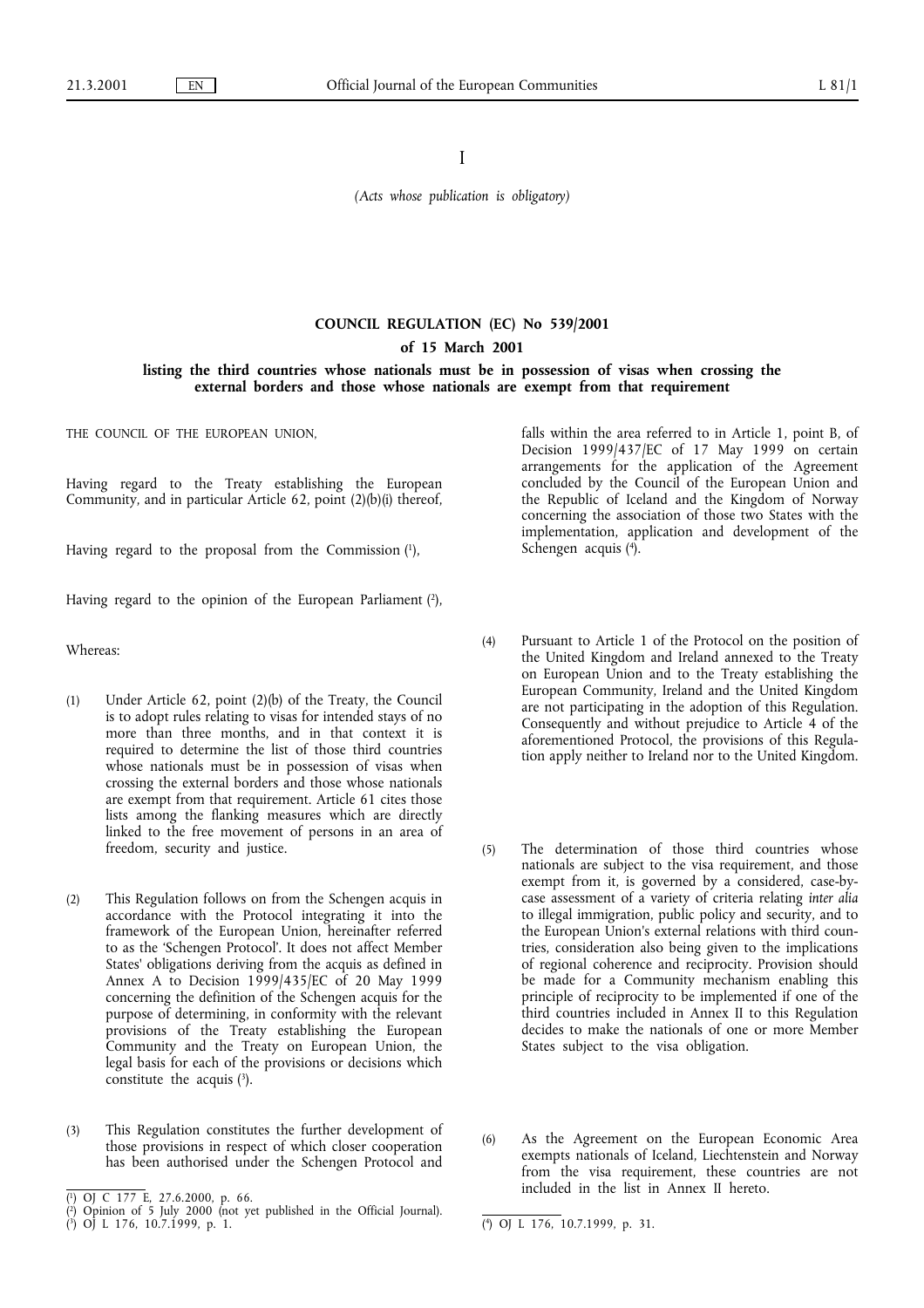I

*(Acts whose publication is obligatory)*

# **COUNCIL REGULATION (EC) No 539/2001**

**of 15 March 2001**

**listing the third countries whose nationals must be in possession of visas when crossing the external borders and those whose nationals are exempt from that requirement**

THE COUNCIL OF THE EUROPEAN UNION,

Having regard to the Treaty establishing the European Community, and in particular Article 62, point (2)(b)(i) thereof,

Having regard to the proposal from the Commission  $(1)$ ,

Having regard to the opinion of the European Parliament (2),

Whereas:

- (1) Under Article 62, point (2)(b) of the Treaty, the Council is to adopt rules relating to visas for intended stays of no more than three months, and in that context it is required to determine the list of those third countries whose nationals must be in possession of visas when crossing the external borders and those whose nationals are exempt from that requirement. Article 61 cites those lists among the flanking measures which are directly linked to the free movement of persons in an area of freedom, security and justice.
- (2) This Regulation follows on from the Schengen acquis in accordance with the Protocol integrating it into the framework of the European Union, hereinafter referred to as the 'Schengen Protocol'. It does not affect Member States' obligations deriving from the acquis as defined in Annex A to Decision 1999/435/EC of 20 May 1999 concerning the definition of the Schengen acquis for the purpose of determining, in conformity with the relevant provisions of the Treaty establishing the European Community and the Treaty on European Union, the legal basis for each of the provisions or decisions which constitute the acquis (3).
- (3) This Regulation constitutes the further development of those provisions in respect of which closer cooperation has been authorised under the Schengen Protocol and

falls within the area referred to in Article 1, point B, of Decision 1999/437/EC of 17 May 1999 on certain arrangements for the application of the Agreement concluded by the Council of the European Union and the Republic of Iceland and the Kingdom of Norway concerning the association of those two States with the implementation, application and development of the Schengen acquis (4).

- (4) Pursuant to Article 1 of the Protocol on the position of the United Kingdom and Ireland annexed to the Treaty on European Union and to the Treaty establishing the European Community, Ireland and the United Kingdom are not participating in the adoption of this Regulation. Consequently and without prejudice to Article 4 of the aforementioned Protocol, the provisions of this Regulation apply neither to Ireland nor to the United Kingdom.
- (5) The determination of those third countries whose nationals are subject to the visa requirement, and those exempt from it, is governed by a considered, case-bycase assessment of a variety of criteria relating *inter alia* to illegal immigration, public policy and security, and to the European Union's external relations with third countries, consideration also being given to the implications of regional coherence and reciprocity. Provision should be made for a Community mechanism enabling this principle of reciprocity to be implemented if one of the third countries included in Annex II to this Regulation decides to make the nationals of one or more Member States subject to the visa obligation.
- (6) As the Agreement on the European Economic Area exempts nationals of Iceland, Liechtenstein and Norway from the visa requirement, these countries are not included in the list in Annex II hereto.

<sup>(</sup> 1) OJ C 177 E, 27.6.2000, p. 66.

 $\binom{2}{2}$  Opinion of 5 July 2000 (not yet published in the Official Journal).

<sup>(</sup> 3) OJ L 176, 10.7.1999, p. 1. (4) OJ L 176, 10.7.1999, p. 31.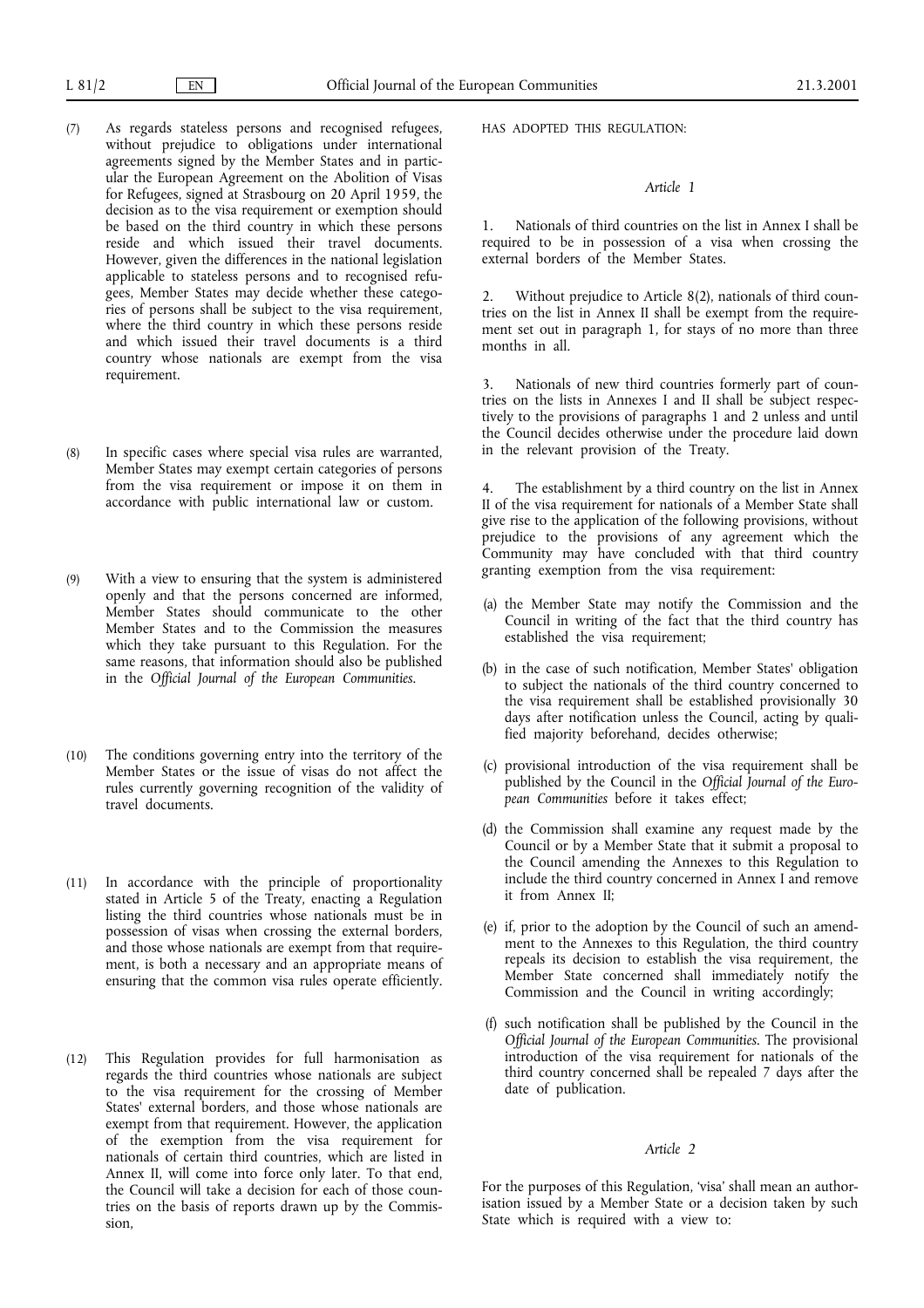- (7) As regards stateless persons and recognised refugees, without prejudice to obligations under international agreements signed by the Member States and in particular the European Agreement on the Abolition of Visas for Refugees, signed at Strasbourg on 20 April 1959, the decision as to the visa requirement or exemption should be based on the third country in which these persons reside and which issued their travel documents. However, given the differences in the national legislation applicable to stateless persons and to recognised refugees, Member States may decide whether these categories of persons shall be subject to the visa requirement, where the third country in which these persons reside and which issued their travel documents is a third country whose nationals are exempt from the visa requirement.
- (8) In specific cases where special visa rules are warranted, Member States may exempt certain categories of persons from the visa requirement or impose it on them in accordance with public international law or custom.
- (9) With a view to ensuring that the system is administered openly and that the persons concerned are informed, Member States should communicate to the other Member States and to the Commission the measures which they take pursuant to this Regulation. For the same reasons, that information should also be published in the *Official Journal of the European Communities*.
- (10) The conditions governing entry into the territory of the Member States or the issue of visas do not affect the rules currently governing recognition of the validity of travel documents.
- (11) In accordance with the principle of proportionality stated in Article 5 of the Treaty, enacting a Regulation listing the third countries whose nationals must be in possession of visas when crossing the external borders, and those whose nationals are exempt from that requirement, is both a necessary and an appropriate means of ensuring that the common visa rules operate efficiently.
- (12) This Regulation provides for full harmonisation as regards the third countries whose nationals are subject to the visa requirement for the crossing of Member States' external borders, and those whose nationals are exempt from that requirement. However, the application of the exemption from the visa requirement for nationals of certain third countries, which are listed in Annex II, will come into force only later. To that end, the Council will take a decision for each of those countries on the basis of reports drawn up by the Commission,

HAS ADOPTED THIS REGULATION:

## *Article 1*

Nationals of third countries on the list in Annex I shall be required to be in possession of a visa when crossing the external borders of the Member States.

2. Without prejudice to Article 8(2), nationals of third countries on the list in Annex II shall be exempt from the requirement set out in paragraph 1, for stays of no more than three months in all.

3. Nationals of new third countries formerly part of countries on the lists in Annexes I and II shall be subject respectively to the provisions of paragraphs 1 and 2 unless and until the Council decides otherwise under the procedure laid down in the relevant provision of the Treaty.

4. The establishment by a third country on the list in Annex II of the visa requirement for nationals of a Member State shall give rise to the application of the following provisions, without prejudice to the provisions of any agreement which the Community may have concluded with that third country granting exemption from the visa requirement:

- (a) the Member State may notify the Commission and the Council in writing of the fact that the third country has established the visa requirement;
- (b) in the case of such notification, Member States' obligation to subject the nationals of the third country concerned to the visa requirement shall be established provisionally 30 days after notification unless the Council, acting by qualified majority beforehand, decides otherwise;
- (c) provisional introduction of the visa requirement shall be published by the Council in the *Official Journal of the European Communities* before it takes effect;
- (d) the Commission shall examine any request made by the Council or by a Member State that it submit a proposal to the Council amending the Annexes to this Regulation to include the third country concerned in Annex I and remove it from Annex II;
- (e) if, prior to the adoption by the Council of such an amendment to the Annexes to this Regulation, the third country repeals its decision to establish the visa requirement, the Member State concerned shall immediately notify the Commission and the Council in writing accordingly;
- (f) such notification shall be published by the Council in the *Official Journal of the European Communities*. The provisional introduction of the visa requirement for nationals of the third country concerned shall be repealed 7 days after the date of publication.

## *Article 2*

For the purposes of this Regulation, 'visa' shall mean an authorisation issued by a Member State or a decision taken by such State which is required with a view to: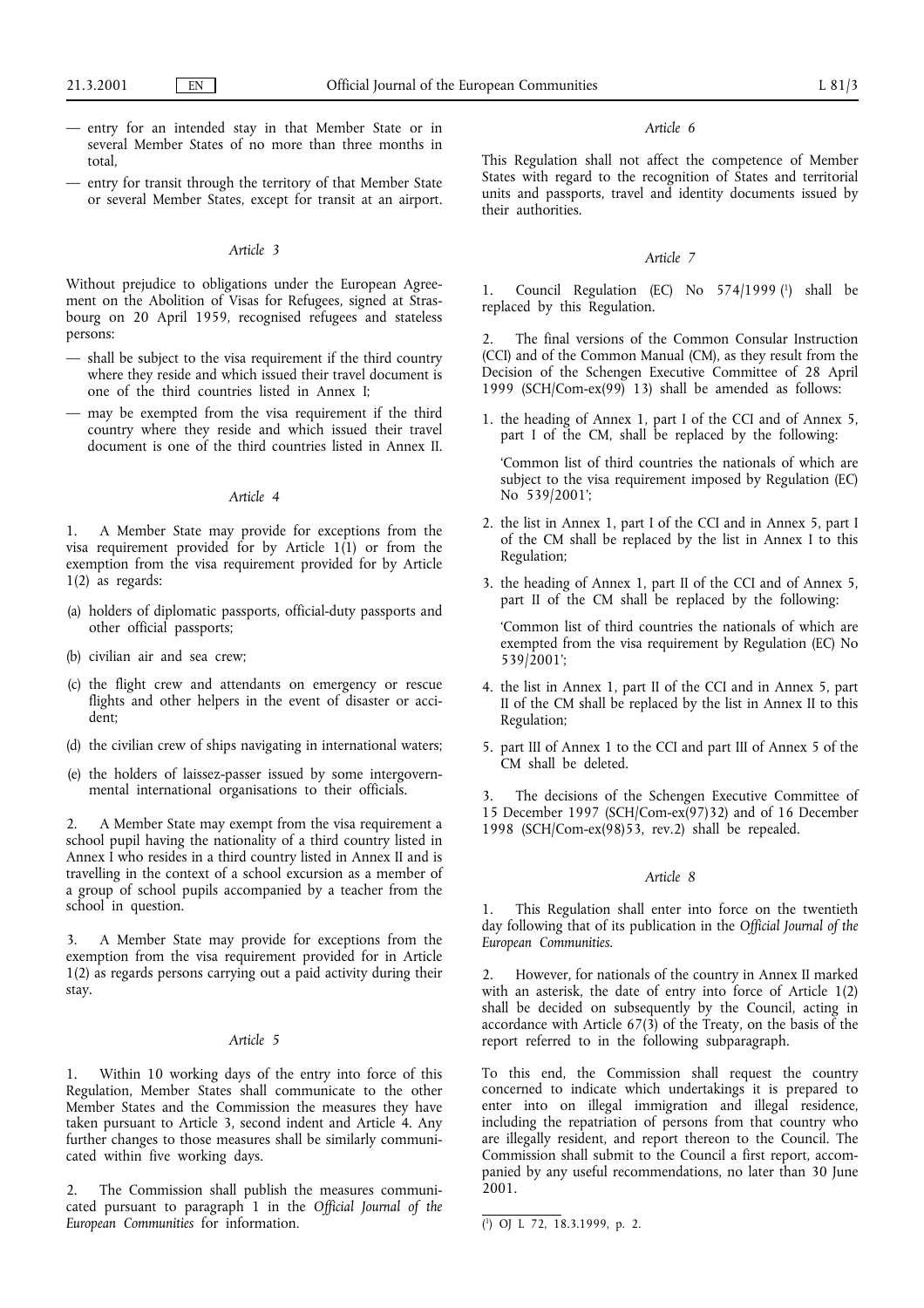- entry for an intended stay in that Member State or in several Member States of no more than three months in total,
- entry for transit through the territory of that Member State or several Member States, except for transit at an airport.

## *Article 3*

Without prejudice to obligations under the European Agreement on the Abolition of Visas for Refugees, signed at Strasbourg on 20 April 1959, recognised refugees and stateless persons:

- shall be subject to the visa requirement if the third country where they reside and which issued their travel document is one of the third countries listed in Annex I;
- may be exempted from the visa requirement if the third country where they reside and which issued their travel document is one of the third countries listed in Annex II.

#### *Article 4*

1. A Member State may provide for exceptions from the visa requirement provided for by Article 1(1) or from the exemption from the visa requirement provided for by Article 1(2) as regards:

- (a) holders of diplomatic passports, official-duty passports and other official passports;
- (b) civilian air and sea crew;
- (c) the flight crew and attendants on emergency or rescue flights and other helpers in the event of disaster or accident;
- (d) the civilian crew of ships navigating in international waters;
- (e) the holders of laissez-passer issued by some intergovernmental international organisations to their officials.

2. A Member State may exempt from the visa requirement a school pupil having the nationality of a third country listed in Annex I who resides in a third country listed in Annex II and is travelling in the context of a school excursion as a member of a group of school pupils accompanied by a teacher from the school in question.

3. A Member State may provide for exceptions from the exemption from the visa requirement provided for in Article 1(2) as regards persons carrying out a paid activity during their stay.

#### *Article 5*

1. Within 10 working days of the entry into force of this Regulation, Member States shall communicate to the other Member States and the Commission the measures they have taken pursuant to Article 3, second indent and Article 4. Any further changes to those measures shall be similarly communicated within five working days.

2. The Commission shall publish the measures communicated pursuant to paragraph 1 in the *Official Journal of the European Communities* for information.

### *Article 6*

This Regulation shall not affect the competence of Member States with regard to the recognition of States and territorial units and passports, travel and identity documents issued by their authorities.

#### *Article 7*

1. Council Regulation (EC) No 574/1999 (1) shall be replaced by this Regulation.

The final versions of the Common Consular Instruction (CCI) and of the Common Manual (CM), as they result from the Decision of the Schengen Executive Committee of 28 April 1999 (SCH/Com-ex(99) 13) shall be amended as follows:

1. the heading of Annex 1, part I of the CCI and of Annex 5, part I of the CM, shall be replaced by the following:

'Common list of third countries the nationals of which are subject to the visa requirement imposed by Regulation (EC) No 539/2001';

- 2. the list in Annex 1, part I of the CCI and in Annex 5, part I of the CM shall be replaced by the list in Annex I to this Regulation;
- 3. the heading of Annex 1, part II of the CCI and of Annex 5, part II of the CM shall be replaced by the following:

'Common list of third countries the nationals of which are exempted from the visa requirement by Regulation (EC) No 539/2001';

- 4. the list in Annex 1, part II of the CCI and in Annex 5, part II of the CM shall be replaced by the list in Annex II to this Regulation;
- 5. part III of Annex 1 to the CCI and part III of Annex 5 of the CM shall be deleted.

3. The decisions of the Schengen Executive Committee of 15 December 1997 (SCH/Com-ex(97)32) and of 16 December 1998 (SCH/Com-ex(98)53, rev.2) shall be repealed.

## *Article 8*

1. This Regulation shall enter into force on the twentieth day following that of its publication in the *Official Journal of the European Communities*.

2. However, for nationals of the country in Annex II marked with an asterisk, the date of entry into force of Article 1(2) shall be decided on subsequently by the Council, acting in accordance with Article  $67(\overline{3})$  of the Treaty, on the basis of the report referred to in the following subparagraph.

To this end, the Commission shall request the country concerned to indicate which undertakings it is prepared to enter into on illegal immigration and illegal residence, including the repatriation of persons from that country who are illegally resident, and report thereon to the Council. The Commission shall submit to the Council a first report, accompanied by any useful recommendations, no later than 30 June 2001.

<sup>(</sup> 1) OJ L 72, 18.3.1999, p. 2.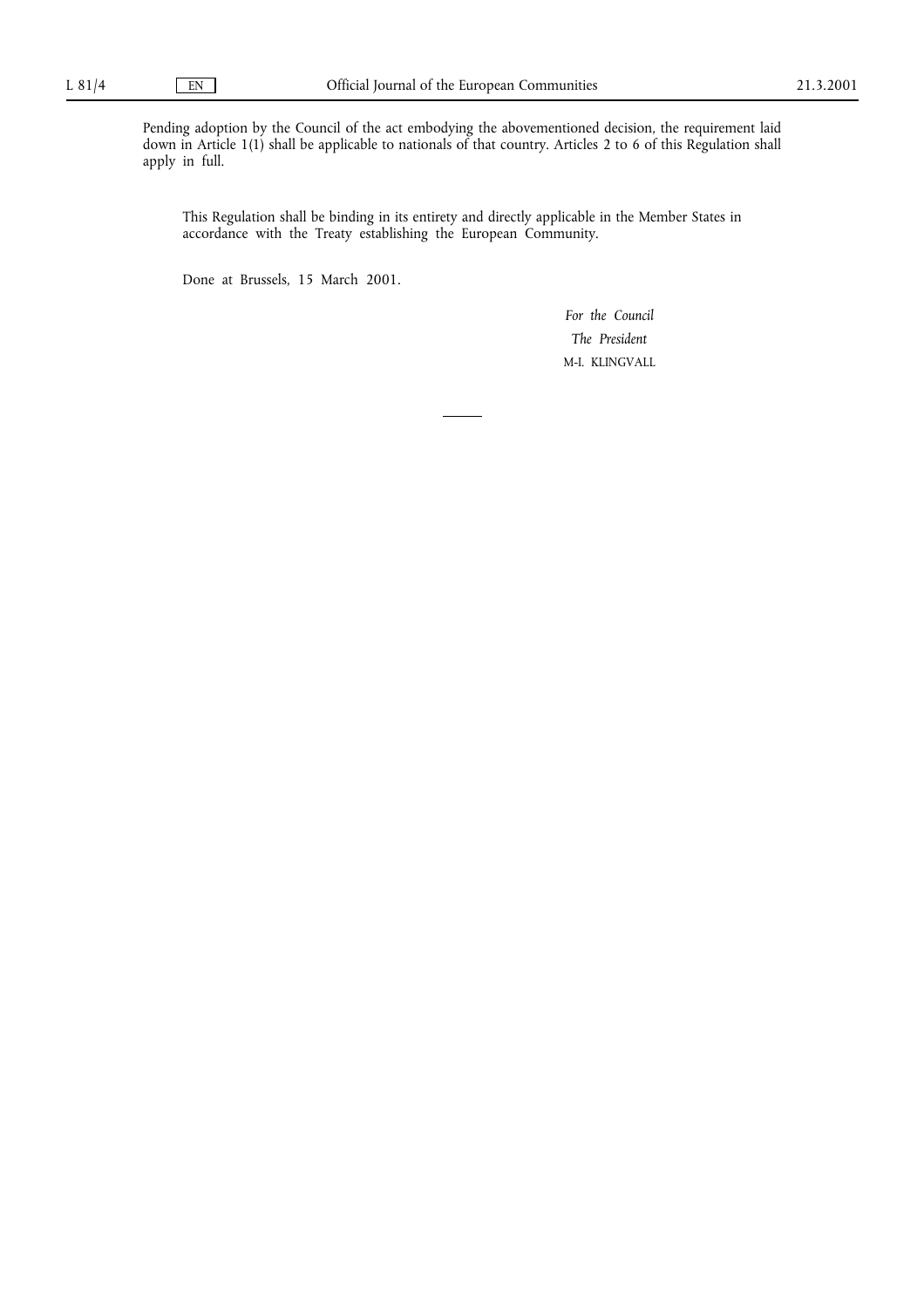Pending adoption by the Council of the act embodying the abovementioned decision, the requirement laid down in Article 1(1) shall be applicable to nationals of that country. Articles 2 to 6 of this Regulation shall apply in full.

This Regulation shall be binding in its entirety and directly applicable in the Member States in accordance with the Treaty establishing the European Community.

Done at Brussels, 15 March 2001.

*For the Council The President* M-I. KLINGVALL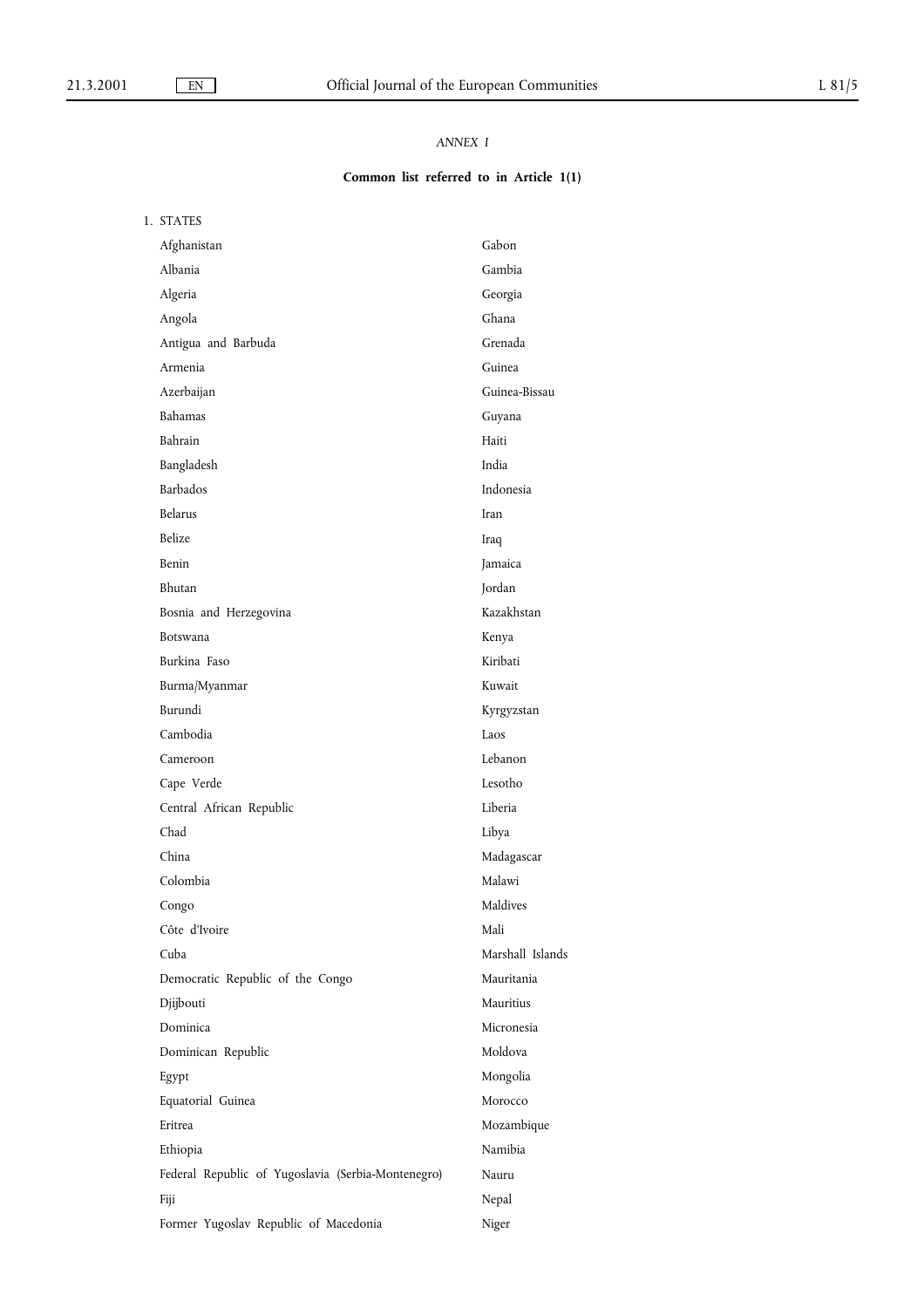## *ANNEX I*

# Common list referred to in Article 1(1)

| 1. STATES                                          |                  |
|----------------------------------------------------|------------------|
| Afghanistan                                        | Gabon            |
| Albania                                            | Gambia           |
| Algeria                                            | Georgia          |
| Angola                                             | Ghana            |
| Antigua and Barbuda                                | Grenada          |
| Armenia                                            | Guinea           |
| Azerbaijan                                         | Guinea-Bissau    |
| Bahamas                                            | Guyana           |
| Bahrain                                            | Haiti            |
| Bangladesh                                         | India            |
| Barbados                                           | Indonesia        |
| Belarus                                            | Iran             |
| <b>Belize</b>                                      | Iraq             |
| Benin                                              | Jamaica          |
| Bhutan                                             | Jordan           |
| Bosnia and Herzegovina                             | Kazakhstan       |
| Botswana                                           | Kenya            |
| Burkina Faso                                       | Kiribati         |
| Burma/Myanmar                                      | Kuwait           |
| Burundi                                            | Kyrgyzstan       |
| Cambodia                                           | Laos             |
| Cameroon                                           | Lebanon          |
| Cape Verde                                         | Lesotho          |
| Central African Republic                           | Liberia          |
| Chad                                               | Libya            |
| China                                              | Madagascar       |
| Colombia                                           | Malawi           |
| Congo                                              | Maldives         |
| Côte d'Ivoire                                      | Mali             |
| Cuba                                               | Marshall Islands |
| Democratic Republic of the Congo                   | Mauritania       |
| Djijbouti                                          | Mauritius        |
| Dominica                                           | Micronesia       |
| Dominican Republic                                 | Moldova          |
| Egypt                                              | Mongolia         |
| Equatorial Guinea                                  | Morocco          |
| Eritrea                                            | Mozambique       |
| Ethiopia                                           | Namibia          |
| Federal Republic of Yugoslavia (Serbia-Montenegro) | Nauru            |
| Fiji                                               | Nepal            |
| Former Yugoslav Republic of Macedonia              | Niger            |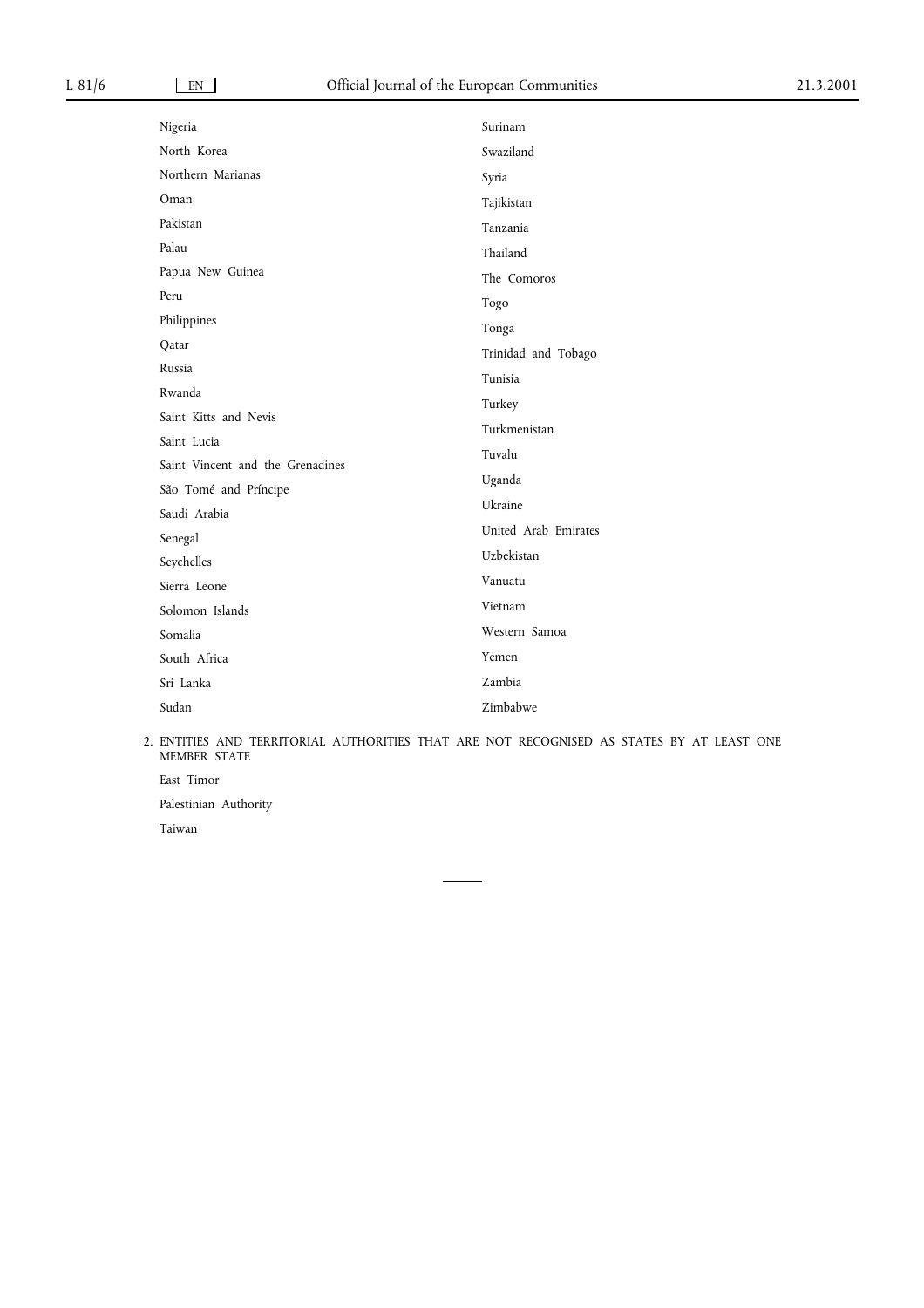| Nigeria                          | Surinam              |
|----------------------------------|----------------------|
| North Korea                      | Swaziland            |
| Northern Marianas                | Syria                |
| Oman                             | Tajikistan           |
| Pakistan                         | Tanzania             |
| Palau                            | Thailand             |
| Papua New Guinea                 | The Comoros          |
| Peru                             | Togo                 |
| Philippines                      | Tonga                |
| Qatar                            | Trinidad and Tobago  |
| Russia                           | Tunisia              |
| Rwanda                           | Turkey               |
| Saint Kitts and Nevis            | Turkmenistan         |
| Saint Lucia                      | Tuvalu               |
| Saint Vincent and the Grenadines | Uganda               |
| São Tomé and Príncipe            | Ukraine              |
| Saudi Arabia                     | United Arab Emirates |
| Senegal                          |                      |
| Seychelles                       | Uzbekistan           |
| Sierra Leone                     | Vanuatu              |
| Solomon Islands                  | Vietnam              |
| Somalia                          | Western Samoa        |
| South Africa                     | Yemen                |
| Sri Lanka                        | Zambia               |
| Sudan                            | Zimbabwe             |

2. ENTITIES AND TERRITORIAL AUTHORITIES THAT ARE NOT RECOGNISED AS STATES BY AT LEAST ONE MEMBER STATE

East Timor Palestinian Authority Taiwan